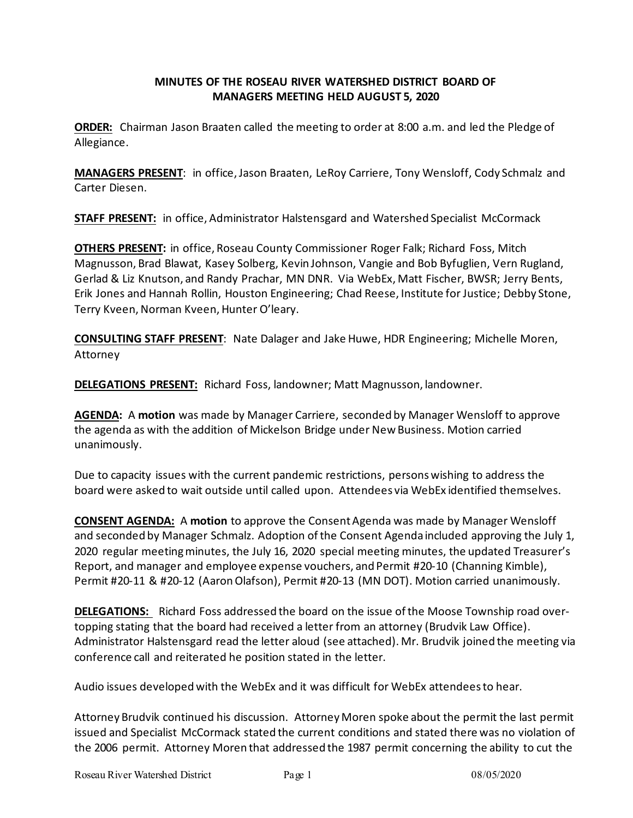# **MINUTES OF THE ROSEAU RIVER WATERSHED DISTRICT BOARD OF MANAGERS MEETING HELD AUGUST 5, 2020**

**ORDER:** Chairman Jason Braaten called the meeting to order at 8:00 a.m. and led the Pledge of Allegiance.

**MANAGERS PRESENT**: in office, Jason Braaten, LeRoy Carriere, Tony Wensloff, Cody Schmalz and Carter Diesen.

**STAFF PRESENT:** in office, Administrator Halstensgard and Watershed Specialist McCormack

**OTHERS PRESENT:** in office, Roseau County Commissioner Roger Falk; Richard Foss, Mitch Magnusson, Brad Blawat, Kasey Solberg, Kevin Johnson, Vangie and Bob Byfuglien, Vern Rugland, Gerlad & Liz Knutson, and Randy Prachar, MN DNR. Via WebEx, Matt Fischer, BWSR; Jerry Bents, Erik Jones and Hannah Rollin, Houston Engineering; Chad Reese, Institute for Justice; Debby Stone, Terry Kveen, Norman Kveen, Hunter O'leary.

**CONSULTING STAFF PRESENT**: Nate Dalager and Jake Huwe, HDR Engineering; Michelle Moren, Attorney

**DELEGATIONS PRESENT:** Richard Foss, landowner; Matt Magnusson, landowner.

**AGENDA:** A **motion** was made by Manager Carriere, seconded by Manager Wensloff to approve the agenda as with the addition of Mickelson Bridge under New Business. Motion carried unanimously.

Due to capacity issues with the current pandemic restrictions, persons wishing to address the board were asked to wait outside until called upon. Attendees via WebEx identified themselves.

**CONSENT AGENDA:** A **motion** to approve the Consent Agenda was made by Manager Wensloff and seconded by Manager Schmalz. Adoption of the Consent Agenda included approving the July 1, 2020 regular meeting minutes, the July 16, 2020 special meeting minutes, the updated Treasurer's Report, and manager and employee expense vouchers, and Permit #20-10 (Channing Kimble), Permit #20-11 & #20-12 (Aaron Olafson), Permit #20-13 (MN DOT). Motion carried unanimously.

**DELEGATIONS:** Richard Foss addressed the board on the issue of the Moose Township road overtopping stating that the board had received a letter from an attorney (Brudvik Law Office). Administrator Halstensgard read the letter aloud (see attached). Mr. Brudvik joined the meeting via conference call and reiterated he position stated in the letter.

Audio issues developed with the WebEx and it was difficult for WebEx attendees to hear.

Attorney Brudvik continued his discussion. Attorney Moren spoke about the permit the last permit issued and Specialist McCormack stated the current conditions and stated there was no violation of the 2006 permit. Attorney Moren that addressed the 1987 permit concerning the ability to cut the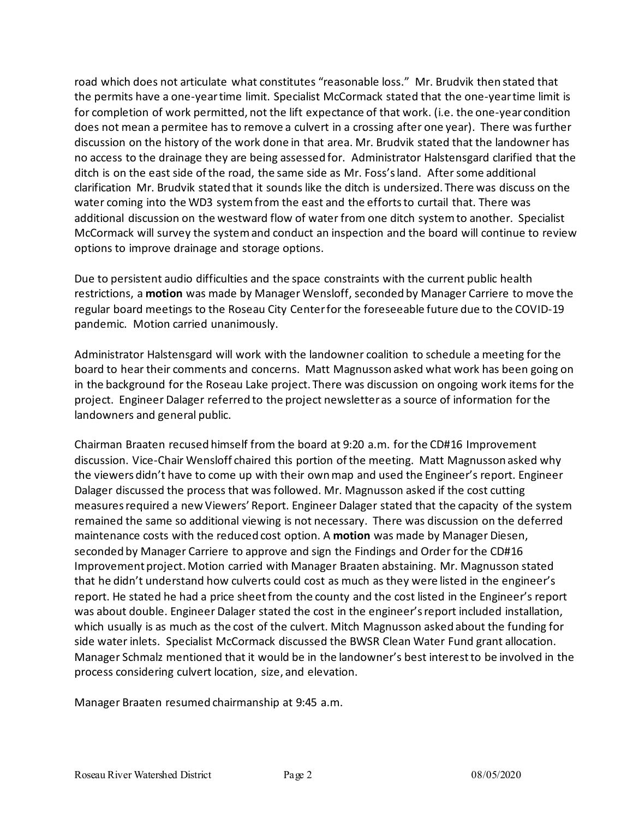road which does not articulate what constitutes "reasonable loss." Mr. Brudvik then stated that the permits have a one-year time limit. Specialist McCormack stated that the one-year time limit is for completion of work permitted, not the lift expectance of that work. (i.e. the one-year condition does not mean a permitee has to remove a culvert in a crossing after one year). There was further discussion on the history of the work done in that area. Mr. Brudvik stated that the landowner has no access to the drainage they are being assessed for. Administrator Halstensgard clarified that the ditch is on the east side of the road, the same side as Mr. Foss's land. After some additional clarification Mr. Brudvik stated that it sounds like the ditch is undersized. There was discuss on the water coming into the WD3 system from the east and the efforts to curtail that. There was additional discussion on the westward flow of water from one ditch system to another. Specialist McCormack will survey the system and conduct an inspection and the board will continue to review options to improve drainage and storage options.

Due to persistent audio difficulties and the space constraints with the current public health restrictions, a **motion** was made by Manager Wensloff, seconded by Manager Carriere to move the regular board meetings to the Roseau City Center for the foreseeable future due to the COVID-19 pandemic. Motion carried unanimously.

Administrator Halstensgard will work with the landowner coalition to schedule a meeting for the board to hear their comments and concerns. Matt Magnusson asked what work has been going on in the background for the Roseau Lake project. There was discussion on ongoing work items for the project. Engineer Dalager referred to the project newsletter as a source of information for the landowners and general public.

Chairman Braaten recused himself from the board at 9:20 a.m. for the CD#16 Improvement discussion. Vice-Chair Wensloff chaired this portion of the meeting. Matt Magnusson asked why the viewers didn't have to come up with their own map and used the Engineer's report. Engineer Dalager discussed the process that was followed. Mr. Magnusson asked if the cost cutting measures required a new Viewers' Report. Engineer Dalager stated that the capacity of the system remained the same so additional viewing is not necessary. There was discussion on the deferred maintenance costs with the reduced cost option. A **motion** was made by Manager Diesen, seconded by Manager Carriere to approve and sign the Findings and Order for the CD#16 Improvement project. Motion carried with Manager Braaten abstaining. Mr. Magnusson stated that he didn't understand how culverts could cost as much as they were listed in the engineer's report. He stated he had a price sheet from the county and the cost listed in the Engineer's report was about double. Engineer Dalager stated the cost in the engineer's report included installation, which usually is as much as the cost of the culvert. Mitch Magnusson asked about the funding for side water inlets. Specialist McCormack discussed the BWSR Clean Water Fund grant allocation. Manager Schmalz mentioned that it would be in the landowner's best interest to be involved in the process considering culvert location, size, and elevation.

Manager Braaten resumed chairmanship at 9:45 a.m.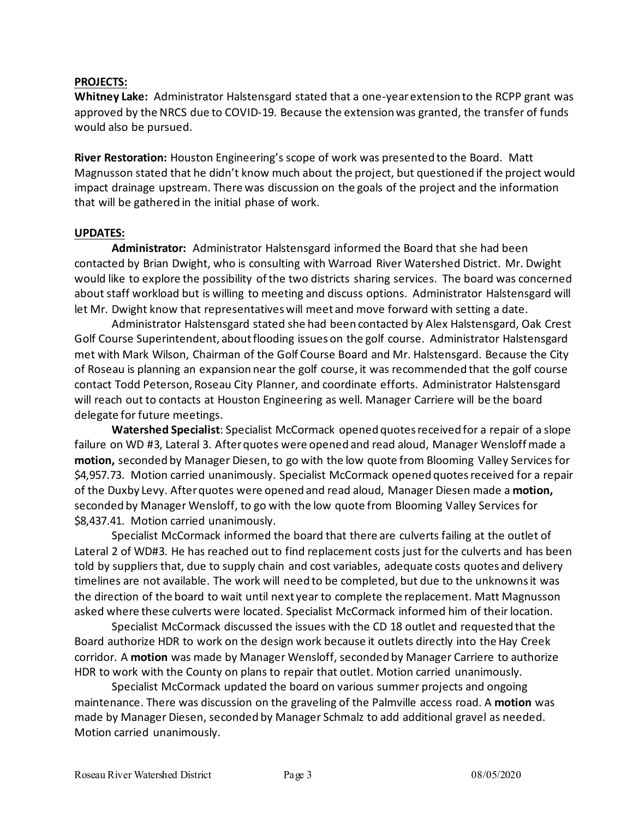### **PROJECTS:**

**Whitney Lake:** Administrator Halstensgard stated that a one-year extension to the RCPP grant was approved by the NRCS due to COVID-19. Because the extension was granted, the transfer of funds would also be pursued.

**River Restoration:** Houston Engineering's scope of work was presented to the Board. Matt Magnusson stated that he didn't know much about the project, but questioned if the project would impact drainage upstream. There was discussion on the goals of the project and the information that will be gathered in the initial phase of work.

#### **UPDATES:**

**Administrator:** Administrator Halstensgard informed the Board that she had been contacted by Brian Dwight, who is consulting with Warroad River Watershed District. Mr. Dwight would like to explore the possibility of the two districts sharing services. The board was concerned about staff workload but is willing to meeting and discuss options. Administrator Halstensgard will let Mr. Dwight know that representatives will meet and move forward with setting a date.

Administrator Halstensgard stated she had been contacted by Alex Halstensgard, Oak Crest Golf Course Superintendent, about flooding issues on the golf course. Administrator Halstensgard met with Mark Wilson, Chairman of the Golf Course Board and Mr. Halstensgard. Because the City of Roseau is planning an expansion near the golf course, it was recommended that the golf course contact Todd Peterson, Roseau City Planner, and coordinate efforts. Administrator Halstensgard will reach out to contacts at Houston Engineering as well. Manager Carriere will be the board delegate for future meetings.

**Watershed Specialist**: Specialist McCormack opened quotes received for a repair of a slope failure on WD #3, Lateral 3. After quotes were opened and read aloud, Manager Wensloff made a motion, seconded by Manager Diesen, to go with the low quote from Blooming Valley Services for \$4,957.73. Motion carried unanimously. Specialist McCormack opened quotes received for a repair of the Duxby Levy. After quotes were opened and read aloud, Manager Diesen made a **motion,**  seconded by Manager Wensloff, to go with the low quote from Blooming Valley Services for \$8,437.41. Motion carried unanimously.

Specialist McCormack informed the board that there are culverts failing at the outlet of Lateral 2 of WD#3. He has reached out to find replacement costs just for the culverts and has been told by suppliers that, due to supply chain and cost variables, adequate costs quotes and delivery timelines are not available. The work will need to be completed, but due to the unknowns it was the direction of the board to wait until next year to complete the replacement. Matt Magnusson asked where these culverts were located. Specialist McCormack informed him of their location.

Specialist McCormack discussed the issues with the CD 18 outlet and requested that the Board authorize HDR to work on the design work because it outlets directly into the Hay Creek corridor. A **motion** was made by Manager Wensloff, seconded by Manager Carriere to authorize HDR to work with the County on plans to repair that outlet. Motion carried unanimously.

Specialist McCormack updated the board on various summer projects and ongoing maintenance. There was discussion on the graveling of the Palmville access road. A **motion** was made by Manager Diesen, seconded by Manager Schmalz to add additional gravel as needed. Motion carried unanimously.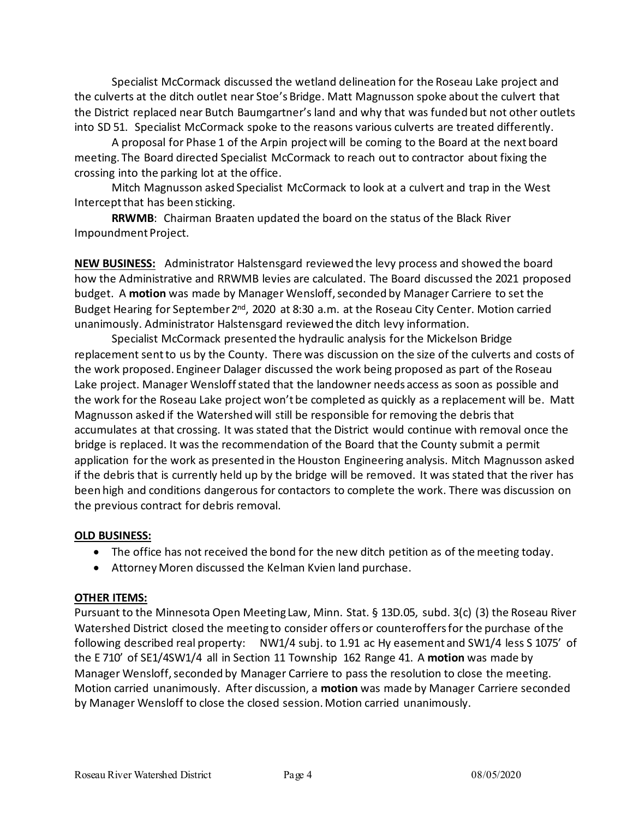Specialist McCormack discussed the wetland delineation for the Roseau Lake project and the culverts at the ditch outlet near Stoe's Bridge. Matt Magnusson spoke about the culvert that the District replaced near Butch Baumgartner's land and why that was funded but not other outlets into SD 51. Specialist McCormack spoke to the reasons various culverts are treated differently.

A proposal for Phase 1 of the Arpin project will be coming to the Board at the next board meeting. The Board directed Specialist McCormack to reach out to contractor about fixing the crossing into the parking lot at the office.

Mitch Magnusson asked Specialist McCormack to look at a culvert and trap in the West Intercept that has been sticking.

**RRWMB**: Chairman Braaten updated the board on the status of the Black River Impoundment Project.

**NEW BUSINESS:** Administrator Halstensgard reviewed the levy process and showed the board how the Administrative and RRWMB levies are calculated. The Board discussed the 2021 proposed budget. A **motion** was made by Manager Wensloff, seconded by Manager Carriere to set the Budget Hearing for September 2<sup>nd</sup>, 2020 at 8:30 a.m. at the Roseau City Center. Motion carried unanimously. Administrator Halstensgard reviewed the ditch levy information.

Specialist McCormack presented the hydraulic analysis for the Mickelson Bridge replacement sent to us by the County. There was discussion on the size of the culverts and costs of the work proposed. Engineer Dalager discussed the work being proposed as part of the Roseau Lake project. Manager Wensloff stated that the landowner needs access as soon as possible and the work for the Roseau Lake project won't be completed as quickly as a replacement will be. Matt Magnusson asked if the Watershed will still be responsible for removing the debris that accumulates at that crossing. It was stated that the District would continue with removal once the bridge is replaced. It was the recommendation of the Board that the County submit a permit application for the work as presented in the Houston Engineering analysis. Mitch Magnusson asked if the debris that is currently held up by the bridge will be removed. It was stated that the river has been high and conditions dangerous for contactors to complete the work. There was discussion on the previous contract for debris removal.

### **OLD BUSINESS:**

- The office has not received the bond for the new ditch petition as of the meeting today.
- Attorney Moren discussed the Kelman Kvien land purchase.

# **OTHER ITEMS:**

Pursuant to the Minnesota Open Meeting Law, Minn. Stat. § 13D.05, subd. 3(c) (3) the Roseau River Watershed District closed the meeting to consider offers or counteroffers for the purchase of the following described real property: NW1/4 subj. to 1.91 ac Hy easement and SW1/4 less S 1075' of the E 710' of SE1/4SW1/4 all in Section 11 Township 162 Range 41. A **motion** was made by Manager Wensloff, seconded by Manager Carriere to pass the resolution to close the meeting. Motion carried unanimously. After discussion, a **motion** was made by Manager Carriere seconded by Manager Wensloff to close the closed session. Motion carried unanimously.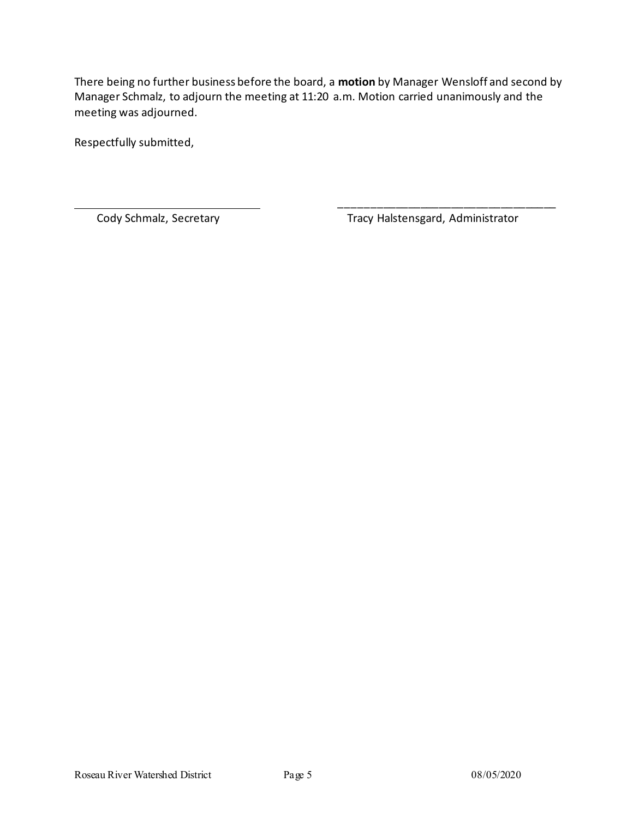There being no further business before the board, a **motion** by Manager Wensloff and second by Manager Schmalz, to adjourn the meeting at 11:20 a.m. Motion carried unanimously and the meeting was adjourned.

Respectfully submitted,

Cody Schmalz, Secretary **Tracy Halstensgard, Administrator** 

\_\_\_\_\_\_\_\_\_\_\_\_\_\_\_\_\_\_\_\_\_\_\_\_\_\_\_\_\_\_\_\_\_\_\_